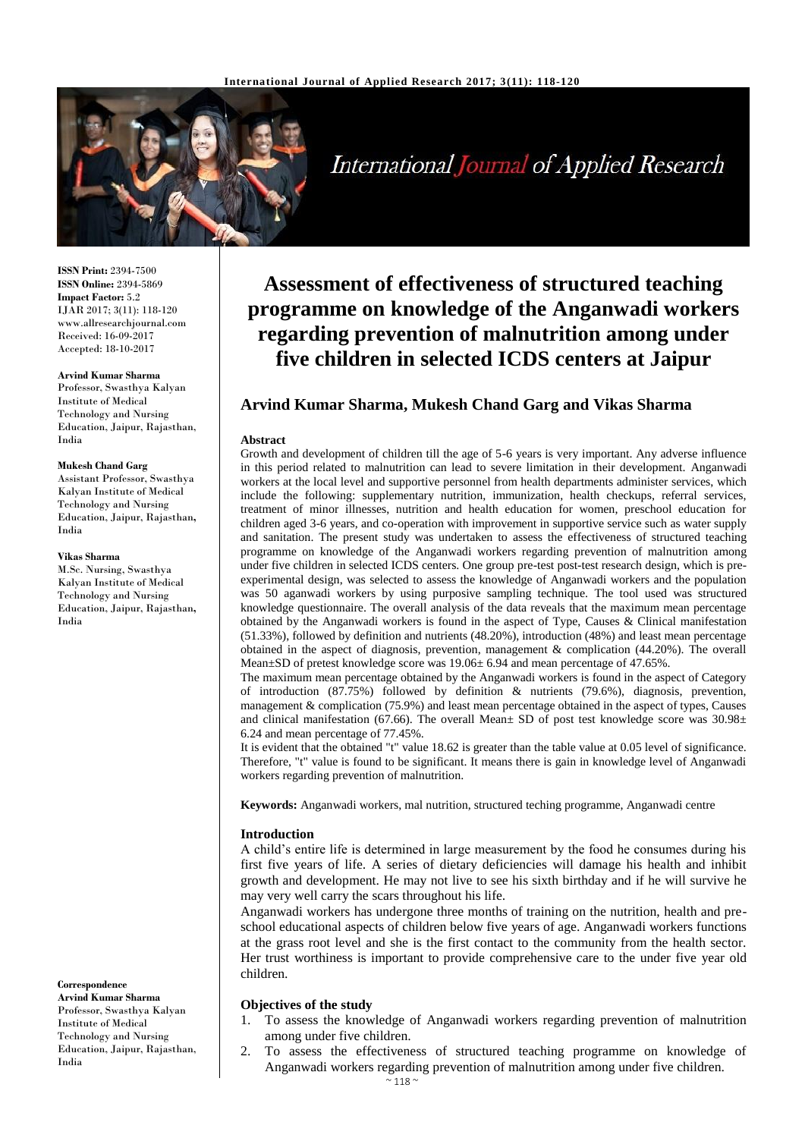

International Journal of Applied Research

**ISSN Print:** 2394-7500 **ISSN Online:** 2394-5869 **Impact Factor:** 5.2 IJAR 2017; 3(11): 118-120 www.allresearchjournal.com Received: 16-09-2017 Accepted: 18-10-2017

#### **Arvind Kumar Sharma**

Professor, Swasthya Kalyan Institute of Medical Technology and Nursing Education, Jaipur, Rajasthan, India

#### **Mukesh Chand Garg**

Assistant Professor, Swasthya Kalyan Institute of Medical Technology and Nursing Education, Jaipur, Rajasthan**,**  India

#### **Vikas Sharma**

M.Sc. Nursing, Swasthya Kalyan Institute of Medical Technology and Nursing Education, Jaipur, Rajasthan**,**  India

**Correspondence**

**Arvind Kumar Sharma** Professor, Swasthya Kalyan Institute of Medical Technology and Nursing Education, Jaipur, Rajasthan, India

# **Assessment of effectiveness of structured teaching programme on knowledge of the Anganwadi workers regarding prevention of malnutrition among under five children in selected ICDS centers at Jaipur**

# **Arvind Kumar Sharma, Mukesh Chand Garg and Vikas Sharma**

#### **Abstract**

Growth and development of children till the age of 5-6 years is very important. Any adverse influence in this period related to malnutrition can lead to severe limitation in their development. Anganwadi workers at the local level and supportive personnel from health departments administer services, which include the following: supplementary nutrition, immunization, health checkups, referral services, treatment of minor illnesses, nutrition and health education for women, preschool education for children aged 3-6 years, and co-operation with improvement in supportive service such as water supply and sanitation. The present study was undertaken to assess the effectiveness of structured teaching programme on knowledge of the Anganwadi workers regarding prevention of malnutrition among under five children in selected ICDS centers. One group pre-test post-test research design, which is preexperimental design, was selected to assess the knowledge of Anganwadi workers and the population was 50 aganwadi workers by using purposive sampling technique. The tool used was structured knowledge questionnaire. The overall analysis of the data reveals that the maximum mean percentage obtained by the Anganwadi workers is found in the aspect of Type, Causes & Clinical manifestation (51.33%), followed by definition and nutrients (48.20%), introduction (48%) and least mean percentage obtained in the aspect of diagnosis, prevention, management & complication (44.20%). The overall Mean $\pm$ SD of pretest knowledge score was 19.06 $\pm$  6.94 and mean percentage of 47.65%.

The maximum mean percentage obtained by the Anganwadi workers is found in the aspect of Category of introduction (87.75%) followed by definition & nutrients (79.6%), diagnosis, prevention, management & complication (75.9%) and least mean percentage obtained in the aspect of types, Causes and clinical manifestation (67.66). The overall Mean $\pm$  SD of post test knowledge score was 30.98 $\pm$ 6.24 and mean percentage of 77.45%.

It is evident that the obtained "t" value 18.62 is greater than the table value at 0.05 level of significance. Therefore, "t" value is found to be significant. It means there is gain in knowledge level of Anganwadi workers regarding prevention of malnutrition.

**Keywords:** Anganwadi workers, mal nutrition, structured teching programme, Anganwadi centre

#### **Introduction**

A child's entire life is determined in large measurement by the food he consumes during his first five years of life. A series of dietary deficiencies will damage his health and inhibit growth and development. He may not live to see his sixth birthday and if he will survive he may very well carry the scars throughout his life.

Anganwadi workers has undergone three months of training on the nutrition, health and preschool educational aspects of children below five years of age. Anganwadi workers functions at the grass root level and she is the first contact to the community from the health sector. Her trust worthiness is important to provide comprehensive care to the under five year old children.

#### **Objectives of the study**

- 1. To assess the knowledge of Anganwadi workers regarding prevention of malnutrition among under five children.
- 2. To assess the effectiveness of structured teaching programme on knowledge of Anganwadi workers regarding prevention of malnutrition among under five children.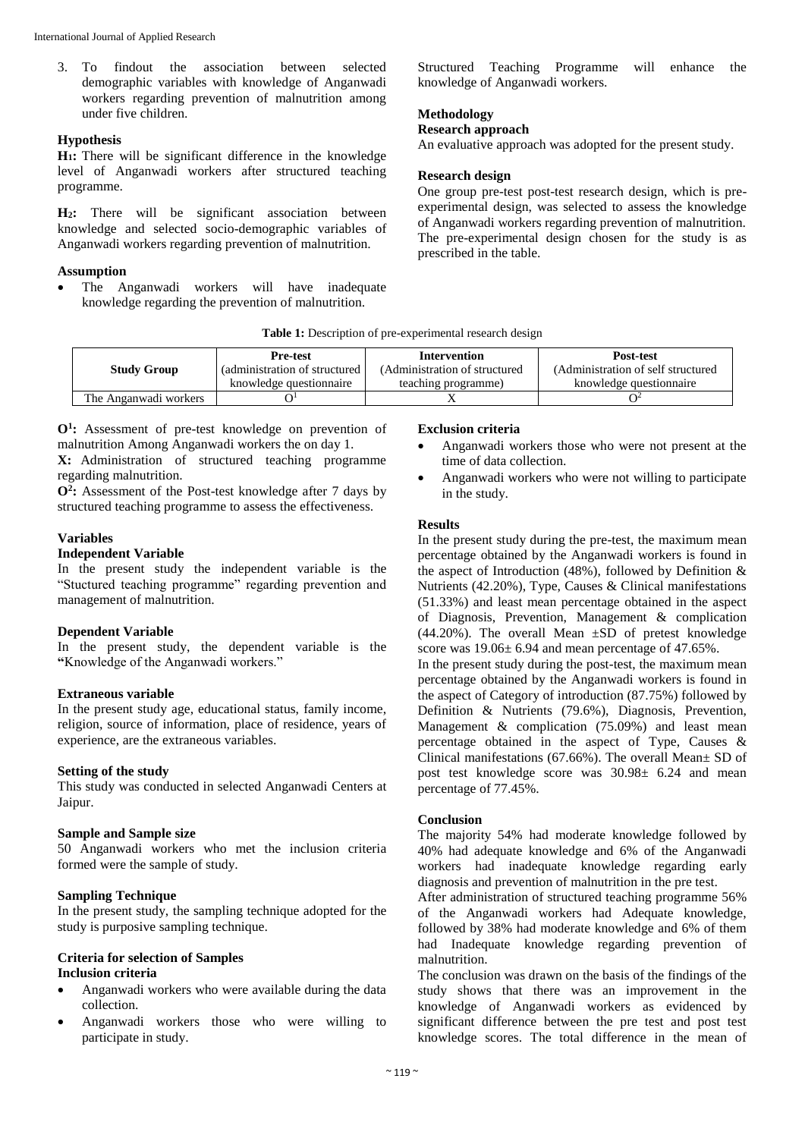3. To findout the association between selected demographic variables with knowledge of Anganwadi workers regarding prevention of malnutrition among under five children.

## **Hypothesis**

**H1:** There will be significant difference in the knowledge level of Anganwadi workers after structured teaching programme.

**H2:** There will be significant association between knowledge and selected socio-demographic variables of Anganwadi workers regarding prevention of malnutrition.

## **Assumption**

 The Anganwadi workers will have inadequate knowledge regarding the prevention of malnutrition.

Structured Teaching Programme will enhance the knowledge of Anganwadi workers.

# **Methodology**

# **Research approach**

An evaluative approach was adopted for the present study.

## **Research design**

One group pre-test post-test research design, which is preexperimental design, was selected to assess the knowledge of Anganwadi workers regarding prevention of malnutrition. The pre-experimental design chosen for the study is as prescribed in the table.

| Table 1: Description of pre-experimental research design |  |  |  |
|----------------------------------------------------------|--|--|--|
|----------------------------------------------------------|--|--|--|

|                       | <b>Pre-test</b>                | Intervention                  | <b>Post-test</b>                    |
|-----------------------|--------------------------------|-------------------------------|-------------------------------------|
| <b>Study Group</b>    | (administration of structured) | (Administration of structured | (Administration of self structured) |
|                       | knowledge questionnaire        | teaching programme)           | knowledge questionnaire             |
| The Anganwadi workers |                                |                               |                                     |

**O<sup>1</sup> :** Assessment of pre-test knowledge on prevention of malnutrition Among Anganwadi workers the on day 1.

**X:** Administration of structured teaching programme regarding malnutrition.

**O<sup>2</sup> :** Assessment of the Post-test knowledge after 7 days by structured teaching programme to assess the effectiveness.

#### **Variables**

# **Independent Variable**

In the present study the independent variable is the "Stuctured teaching programme" regarding prevention and management of malnutrition.

# **Dependent Variable**

In the present study, the dependent variable is the **"**Knowledge of the Anganwadi workers."

# **Extraneous variable**

In the present study age, educational status, family income, religion, source of information, place of residence, years of experience, are the extraneous variables.

# **Setting of the study**

This study was conducted in selected Anganwadi Centers at Jaipur.

# **Sample and Sample size**

50 Anganwadi workers who met the inclusion criteria formed were the sample of study.

# **Sampling Technique**

In the present study, the sampling technique adopted for the study is purposive sampling technique.

## **Criteria for selection of Samples Inclusion criteria**

- Anganwadi workers who were available during the data collection.
- Anganwadi workers those who were willing to participate in study.

#### **Exclusion criteria**

- Anganwadi workers those who were not present at the time of data collection.
- Anganwadi workers who were not willing to participate in the study.

# **Results**

In the present study during the pre-test, the maximum mean percentage obtained by the Anganwadi workers is found in the aspect of Introduction (48%), followed by Definition  $\&$ Nutrients (42.20%), Type, Causes & Clinical manifestations (51.33%) and least mean percentage obtained in the aspect of Diagnosis, Prevention, Management & complication (44.20%). The overall Mean  $\pm$ SD of pretest knowledge score was  $19.06 \pm 6.94$  and mean percentage of 47.65%.

In the present study during the post-test, the maximum mean percentage obtained by the Anganwadi workers is found in the aspect of Category of introduction (87.75%) followed by Definition & Nutrients (79.6%), Diagnosis, Prevention, Management & complication (75.09%) and least mean percentage obtained in the aspect of Type, Causes & Clinical manifestations (67.66%). The overall Mean± SD of post test knowledge score was 30.98± 6.24 and mean percentage of 77.45%.

# **Conclusion**

The majority 54% had moderate knowledge followed by 40% had adequate knowledge and 6% of the Anganwadi workers had inadequate knowledge regarding early diagnosis and prevention of malnutrition in the pre test.

After administration of structured teaching programme 56% of the Anganwadi workers had Adequate knowledge, followed by 38% had moderate knowledge and 6% of them had Inadequate knowledge regarding prevention of malnutrition.

The conclusion was drawn on the basis of the findings of the study shows that there was an improvement in the knowledge of Anganwadi workers as evidenced by significant difference between the pre test and post test knowledge scores. The total difference in the mean of